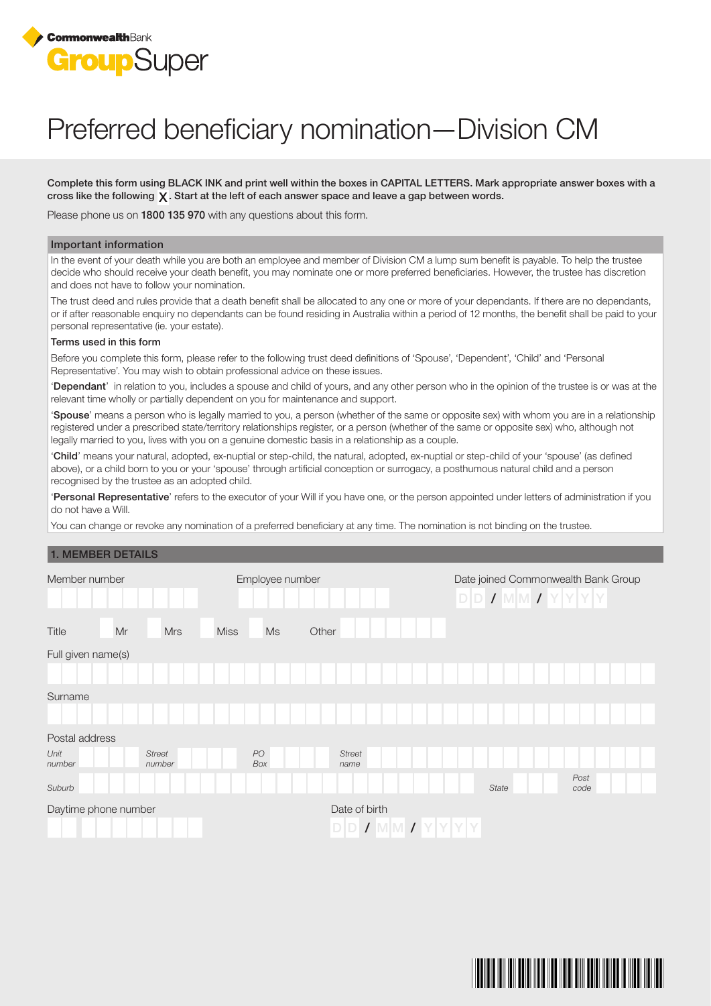

# Preferred beneficiary nomination—Division CM

Complete this form using BLACK INK and print well within the boxes in CAPITAL LETTERS. Mark appropriate answer boxes with a cross like the following  $\chi$ . Start at the left of each answer space and leave a gap between words.

Please phone us on 1800 135 970 with any questions about this form.

#### Important information

In the event of your death while you are both an employee and member of Division CM a lump sum benefit is payable. To help the trustee decide who should receive your death benefit, you may nominate one or more preferred beneficiaries. However, the trustee has discretion and does not have to follow your nomination.

The trust deed and rules provide that a death benefit shall be allocated to any one or more of your dependants. If there are no dependants, or if after reasonable enquiry no dependants can be found residing in Australia within a period of 12 months, the benefit shall be paid to your personal representative (ie. your estate).

#### Terms used in this form

Before you complete this form, please refer to the following trust deed definitions of 'Spouse', 'Dependent', 'Child' and 'Personal Representative'. You may wish to obtain professional advice on these issues.

'Dependant' in relation to you, includes a spouse and child of yours, and any other person who in the opinion of the trustee is or was at the relevant time wholly or partially dependent on you for maintenance and support.

'Spouse' means a person who is legally married to you, a person (whether of the same or opposite sex) with whom you are in a relationship registered under a prescribed state/territory relationships register, or a person (whether of the same or opposite sex) who, although not legally married to you, lives with you on a genuine domestic basis in a relationship as a couple.

'Child' means your natural, adopted, ex-nuptial or step-child, the natural, adopted, ex-nuptial or step-child of your 'spouse' (as defined above), or a child born to you or your 'spouse' through artificial conception or surrogacy, a posthumous natural child and a person recognised by the trustee as an adopted child.

'Personal Representative' refers to the executor of your Will if you have one, or the person appointed under letters of administration if you do not have a Will.

You can change or revoke any nomination of a preferred beneficiary at any time. The nomination is not binding on the trustee.

## 1. MEMBER DETAILS

| Member number        |    |                         | Employee number |           |       |                              |  |  | Date joined Commonwealth Bank Group<br>$D D I W M I Y Y Y Y $ |  |       |  |  |  |              |  |  |  |
|----------------------|----|-------------------------|-----------------|-----------|-------|------------------------------|--|--|---------------------------------------------------------------|--|-------|--|--|--|--------------|--|--|--|
| Title                | Mr | <b>Mrs</b>              | <b>Miss</b>     | Ms        | Other |                              |  |  |                                                               |  |       |  |  |  |              |  |  |  |
| Full given name(s)   |    |                         |                 |           |       |                              |  |  |                                                               |  |       |  |  |  |              |  |  |  |
|                      |    |                         |                 |           |       |                              |  |  |                                                               |  |       |  |  |  |              |  |  |  |
| Surname              |    |                         |                 |           |       |                              |  |  |                                                               |  |       |  |  |  |              |  |  |  |
|                      |    |                         |                 |           |       |                              |  |  |                                                               |  |       |  |  |  |              |  |  |  |
| Postal address       |    |                         |                 |           |       |                              |  |  |                                                               |  |       |  |  |  |              |  |  |  |
| Unit<br>number       |    | <b>Street</b><br>number |                 | PO<br>Box |       | <b>Street</b><br>name        |  |  |                                                               |  |       |  |  |  |              |  |  |  |
| Suburb               |    |                         |                 |           |       |                              |  |  |                                                               |  | State |  |  |  | Post<br>code |  |  |  |
| Daytime phone number |    |                         |                 |           |       | Date of birth<br>$D$ $D$ $I$ |  |  | $M$ $M$ $I$ $Y$ $Y$ $Y$ $Y$                                   |  |       |  |  |  |              |  |  |  |